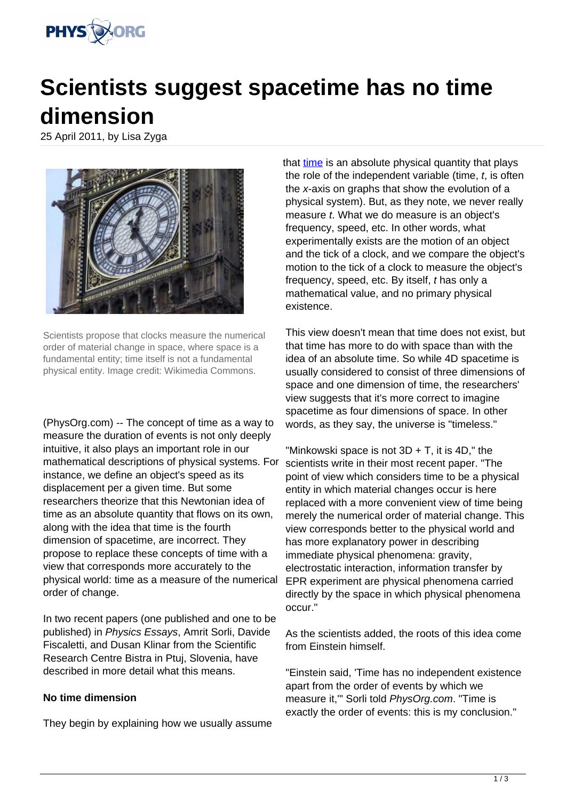

# **Scientists suggest spacetime has no time dimension**

25 April 2011, by Lisa Zyga



Scientists propose that clocks measure the numerical order of material change in space, where space is a fundamental entity; time itself is not a fundamental physical entity. Image credit: Wikimedia Commons.

(PhysOrg.com) -- The concept of time as a way to measure the duration of events is not only deeply intuitive, it also plays an important role in our mathematical descriptions of physical systems. For instance, we define an object's speed as its displacement per a given time. But some researchers theorize that this Newtonian idea of time as an absolute quantity that flows on its own, along with the idea that time is the fourth dimension of spacetime, are incorrect. They propose to replace these concepts of time with a view that corresponds more accurately to the physical world: time as a measure of the numerical order of change.

In two recent papers (one published and one to be published) in Physics Essays, Amrit Sorli, Davide Fiscaletti, and Dusan Klinar from the Scientific Research Centre Bistra in Ptuj, Slovenia, have described in more detail what this means.

## **No time dimension**

They begin by explaining how we usually assume

that [time](https://phys.org/tags/time/) is an absolute physical quantity that plays the role of the independent variable (time,  $t$ , is often the x-axis on graphs that show the evolution of a physical system). But, as they note, we never really measure t. What we do measure is an object's frequency, speed, etc. In other words, what experimentally exists are the motion of an object and the tick of a clock, and we compare the object's motion to the tick of a clock to measure the object's frequency, speed, etc. By itself, t has only a mathematical value, and no primary physical existence.

This view doesn't mean that time does not exist, but that time has more to do with space than with the idea of an absolute time. So while 4D spacetime is usually considered to consist of three dimensions of space and one dimension of time, the researchers' view suggests that it's more correct to imagine spacetime as four dimensions of space. In other words, as they say, the universe is "timeless."

"Minkowski space is not  $3D + T$ , it is  $4D$ ," the scientists write in their most recent paper. "The point of view which considers time to be a physical entity in which material changes occur is here replaced with a more convenient view of time being merely the numerical order of material change. This view corresponds better to the physical world and has more explanatory power in describing immediate physical phenomena: gravity, electrostatic interaction, information transfer by EPR experiment are physical phenomena carried directly by the space in which physical phenomena occur."

As the scientists added, the roots of this idea come from Einstein himself.

"Einstein said, 'Time has no independent existence apart from the order of events by which we measure it,'" Sorli told PhysOrg.com. "Time is exactly the order of events: this is my conclusion."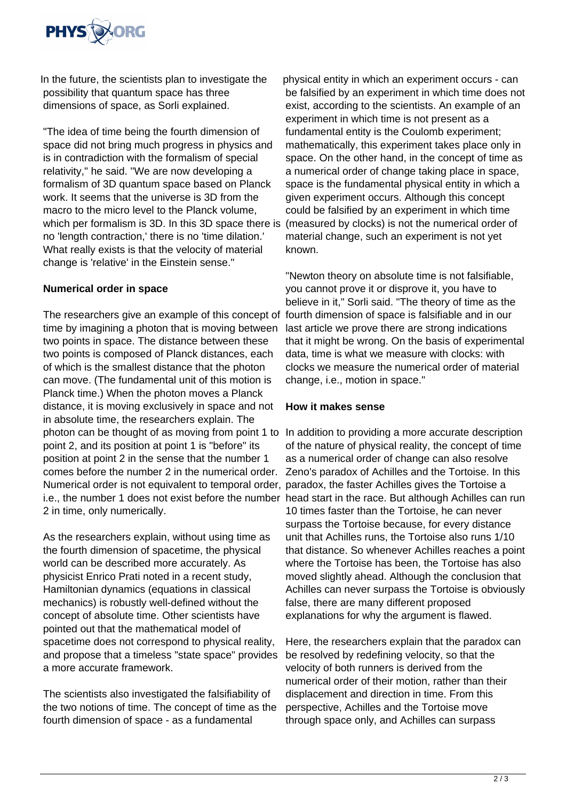

In the future, the scientists plan to investigate the possibility that quantum space has three dimensions of space, as Sorli explained.

"The idea of time being the fourth dimension of space did not bring much progress in physics and is in contradiction with the formalism of special relativity," he said. "We are now developing a formalism of 3D quantum space based on Planck work. It seems that the universe is 3D from the macro to the micro level to the Planck volume, which per formalism is 3D. In this 3D space there is no 'length contraction,' there is no 'time dilation.' What really exists is that the velocity of material change is 'relative' in the Einstein sense."

## **Numerical order in space**

The researchers give an example of this concept of fourth dimension of space is falsifiable and in our time by imagining a photon that is moving between two points in space. The distance between these two points is composed of Planck distances, each of which is the smallest distance that the photon can move. (The fundamental unit of this motion is Planck time.) When the photon moves a Planck distance, it is moving exclusively in space and not in absolute time, the researchers explain. The photon can be thought of as moving from point 1 to In addition to providing a more accurate description point 2, and its position at point 1 is "before" its position at point 2 in the sense that the number 1 comes before the number 2 in the numerical order. Numerical order is not equivalent to temporal order, paradox, the faster Achilles gives the Tortoise a i.e., the number 1 does not exist before the number head start in the race. But although Achilles can run 2 in time, only numerically.

As the researchers explain, without using time as the fourth dimension of spacetime, the physical world can be described more accurately. As physicist Enrico Prati noted in a recent study, Hamiltonian dynamics (equations in classical mechanics) is robustly well-defined without the concept of absolute time. Other scientists have pointed out that the mathematical model of spacetime does not correspond to physical reality, and propose that a timeless "state space" provides a more accurate framework.

The scientists also investigated the falsifiability of the two notions of time. The concept of time as the fourth dimension of space - as a fundamental

physical entity in which an experiment occurs - can be falsified by an experiment in which time does not exist, according to the scientists. An example of an experiment in which time is not present as a fundamental entity is the Coulomb experiment; mathematically, this experiment takes place only in space. On the other hand, in the concept of time as a numerical order of change taking place in space, space is the fundamental physical entity in which a given experiment occurs. Although this concept could be falsified by an experiment in which time (measured by clocks) is not the numerical order of material change, such an experiment is not yet known.

"Newton theory on absolute time is not falsifiable, you cannot prove it or disprove it, you have to believe in it," Sorli said. "The theory of time as the last article we prove there are strong indications that it might be wrong. On the basis of experimental data, time is what we measure with clocks: with clocks we measure the numerical order of material change, i.e., motion in space."

## **How it makes sense**

of the nature of physical reality, the concept of time as a numerical order of change can also resolve Zeno's paradox of Achilles and the Tortoise. In this 10 times faster than the Tortoise, he can never surpass the Tortoise because, for every distance unit that Achilles runs, the Tortoise also runs 1/10 that distance. So whenever Achilles reaches a point where the Tortoise has been, the Tortoise has also moved slightly ahead. Although the conclusion that Achilles can never surpass the Tortoise is obviously false, there are many different proposed explanations for why the argument is flawed.

Here, the researchers explain that the paradox can be resolved by redefining velocity, so that the velocity of both runners is derived from the numerical order of their motion, rather than their displacement and direction in time. From this perspective, Achilles and the Tortoise move through space only, and Achilles can surpass